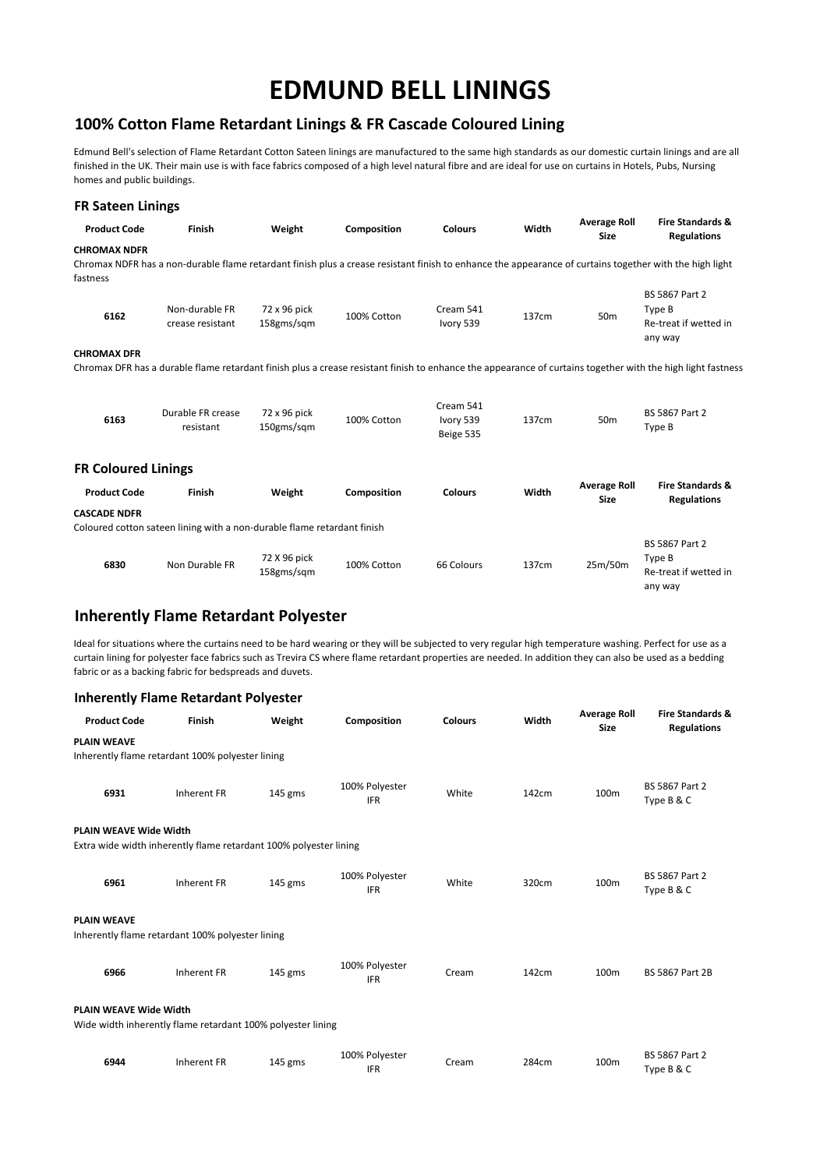### **100% Cotton Flame Retardant Linings & FR Cascade Coloured Lining**

Edmund Bell's selection of Flame Retardant Cotton Sateen linings are manufactured to the same high standards as our domestic curtain linings and are all finished in the UK. Their main use is with face fabrics composed of a high level natural fibre and are ideal for use on curtains in Hotels, Pubs, Nursing homes and public buildings.

| <b>FR Sateen Linings</b>        |                                                                         |                            |             |                                     |       |                                    |                                                                                                                                                             |
|---------------------------------|-------------------------------------------------------------------------|----------------------------|-------------|-------------------------------------|-------|------------------------------------|-------------------------------------------------------------------------------------------------------------------------------------------------------------|
| <b>Product Code</b>             | Finish                                                                  | Weight                     | Composition | <b>Colours</b>                      | Width | <b>Average Roll</b><br><b>Size</b> | <b>Fire Standards &amp;</b><br><b>Regulations</b>                                                                                                           |
| <b>CHROMAX NDFR</b><br>fastness |                                                                         |                            |             |                                     |       |                                    | Chromax NDFR has a non-durable flame retardant finish plus a crease resistant finish to enhance the appearance of curtains together with the high light     |
| 6162                            | Non-durable FR<br>crease resistant                                      | 72 x 96 pick<br>158gms/sqm | 100% Cotton | Cream 541<br>Ivory 539              | 137cm | 50 <sub>m</sub>                    | <b>BS 5867 Part 2</b><br>Type B<br>Re-treat if wetted in<br>any way                                                                                         |
| <b>CHROMAX DFR</b>              |                                                                         |                            |             |                                     |       |                                    |                                                                                                                                                             |
|                                 |                                                                         |                            |             |                                     |       |                                    | Chromax DFR has a durable flame retardant finish plus a crease resistant finish to enhance the appearance of curtains together with the high light fastness |
| 6163                            | Durable FR crease<br>resistant                                          | 72 x 96 pick<br>150gms/sqm | 100% Cotton | Cream 541<br>Ivory 539<br>Beige 535 | 137cm | 50 <sub>m</sub>                    | <b>BS 5867 Part 2</b><br>Type B                                                                                                                             |
| <b>FR Coloured Linings</b>      |                                                                         |                            |             |                                     |       |                                    |                                                                                                                                                             |
| <b>Product Code</b>             | Finish                                                                  | Weight                     | Composition | <b>Colours</b>                      | Width | <b>Average Roll</b><br><b>Size</b> | <b>Fire Standards &amp;</b><br><b>Regulations</b>                                                                                                           |
| <b>CASCADE NDFR</b>             |                                                                         |                            |             |                                     |       |                                    |                                                                                                                                                             |
|                                 | Coloured cotton sateen lining with a non-durable flame retardant finish |                            |             |                                     |       |                                    |                                                                                                                                                             |
| 6830                            | Non Durable FR                                                          | 72 X 96 pick<br>158gms/sqm | 100% Cotton | 66 Colours                          | 137cm | 25m/50m                            | <b>BS 5867 Part 2</b><br>Type B<br>Re-treat if wetted in<br>any way                                                                                         |
|                                 | <b>Inherently Flame Retardant Polyester</b>                             |                            |             |                                     |       |                                    |                                                                                                                                                             |

Ideal for situations where the curtains need to be hard wearing or they will be subjected to very regular high temperature washing. Perfect for use as a curtain lining for polyester face fabrics such as Trevira CS where flame retardant properties are needed. In addition they can also be used as a bedding fabric or as a backing fabric for bedspreads and duvets.

### **Inherently Flame Retardant Polyester**

| <b>Product Code</b>                                                                          | Finish             | Weight    | Composition                  | <b>Colours</b> | Width | <b>Average Roll</b><br><b>Size</b> | <b>Fire Standards &amp;</b><br><b>Regulations</b> |
|----------------------------------------------------------------------------------------------|--------------------|-----------|------------------------------|----------------|-------|------------------------------------|---------------------------------------------------|
| <b>PLAIN WEAVE</b><br>Inherently flame retardant 100% polyester lining                       |                    |           |                              |                |       |                                    |                                                   |
| 6931                                                                                         | Inherent FR        | 145 gms   | 100% Polyester<br><b>IFR</b> | White          | 142cm | 100 <sub>m</sub>                   | <b>BS 5867 Part 2</b><br>Type B & C               |
| <b>PLAIN WEAVE Wide Width</b>                                                                |                    |           |                              |                |       |                                    |                                                   |
| Extra wide width inherently flame retardant 100% polyester lining                            |                    |           |                              |                |       |                                    |                                                   |
| 6961                                                                                         | Inherent FR        | $145$ gms | 100% Polyester<br><b>IFR</b> | White          | 320cm | 100 <sub>m</sub>                   | <b>BS 5867 Part 2</b><br>Type B & C               |
| <b>PLAIN WEAVE</b><br>Inherently flame retardant 100% polyester lining                       |                    |           |                              |                |       |                                    |                                                   |
| 6966                                                                                         | <b>Inherent FR</b> | 145 gms   | 100% Polyester<br><b>IFR</b> | Cream          | 142cm | 100m                               | <b>BS 5867 Part 2B</b>                            |
| <b>PLAIN WEAVE Wide Width</b><br>Wide width inherently flame retardant 100% polyester lining |                    |           |                              |                |       |                                    |                                                   |
| 6944                                                                                         | <b>Inherent FR</b> | 145 gms   | 100% Polyester<br><b>IFR</b> | Cream          | 284cm | 100m                               | <b>BS 5867 Part 2</b><br>Type B & C               |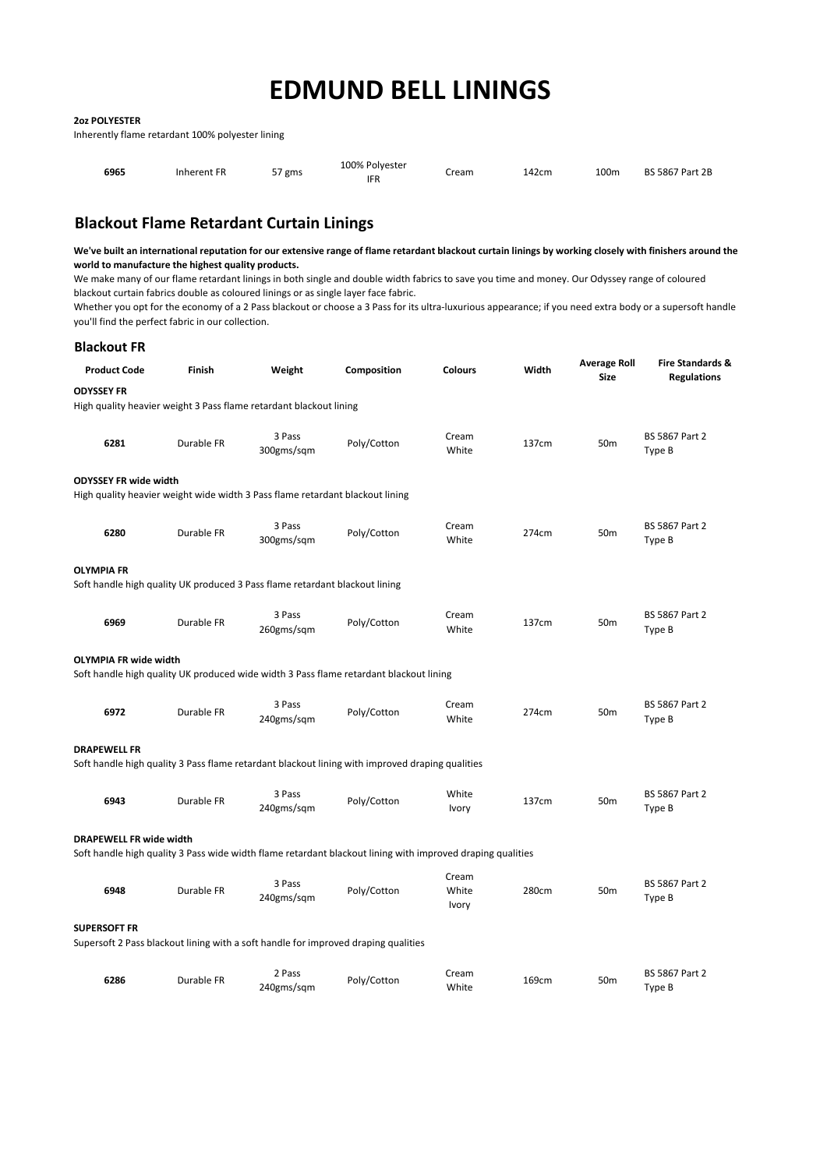#### **2oz POLYESTER**

Inherently flame retardant 100% polyester lining

| 6965 | Inherent FR | $-1$<br>' gms<br>، ب | 100% Polvester<br><b>IFR</b> | Cream | 142cm | 100m | <b>BS 5867 Part 2B</b> |
|------|-------------|----------------------|------------------------------|-------|-------|------|------------------------|
|------|-------------|----------------------|------------------------------|-------|-------|------|------------------------|

# **Blackout Flame Retardant Curtain Linings**

**We've built an international reputation for our extensive range of flame retardant blackout curtain linings by working closely with finishers around the world to manufacture the highest quality products.**

We make many of our flame retardant linings in both single and double width fabrics to save you time and money. Our Odyssey range of coloured blackout curtain fabrics double as coloured linings or as single layer face fabric.

Whether you opt for the economy of a 2 Pass blackout or choose a 3 Pass for its ultra-luxurious appearance; if you need extra body or a supersoft handle you'll find the perfect fabric in our collection.

| <b>Blackout FR</b>             |            |                                                                               |                                                                                                            |                         |       |                                    |                                        |
|--------------------------------|------------|-------------------------------------------------------------------------------|------------------------------------------------------------------------------------------------------------|-------------------------|-------|------------------------------------|----------------------------------------|
| <b>Product Code</b>            | Finish     | Weight                                                                        | Composition                                                                                                | <b>Colours</b>          | Width | <b>Average Roll</b><br><b>Size</b> | Fire Standards &<br><b>Regulations</b> |
| <b>ODYSSEY FR</b>              |            |                                                                               |                                                                                                            |                         |       |                                    |                                        |
|                                |            | High quality heavier weight 3 Pass flame retardant blackout lining            |                                                                                                            |                         |       |                                    |                                        |
| 6281                           | Durable FR | 3 Pass<br>300gms/sqm                                                          | Poly/Cotton                                                                                                | Cream<br>White          | 137cm | 50 <sub>m</sub>                    | <b>BS 5867 Part 2</b><br>Type B        |
| <b>ODYSSEY FR wide width</b>   |            | High quality heavier weight wide width 3 Pass flame retardant blackout lining |                                                                                                            |                         |       |                                    |                                        |
| 6280                           | Durable FR | 3 Pass<br>300gms/sqm                                                          | Poly/Cotton                                                                                                | Cream<br>White          | 274cm | 50 <sub>m</sub>                    | BS 5867 Part 2<br>Type B               |
| <b>OLYMPIA FR</b>              |            | Soft handle high quality UK produced 3 Pass flame retardant blackout lining   |                                                                                                            |                         |       |                                    |                                        |
| 6969                           | Durable FR | 3 Pass<br>260gms/sqm                                                          | Poly/Cotton                                                                                                | Cream<br>White          | 137cm | 50 <sub>m</sub>                    | <b>BS 5867 Part 2</b><br>Type B        |
| <b>OLYMPIA FR wide width</b>   |            |                                                                               | Soft handle high quality UK produced wide width 3 Pass flame retardant blackout lining                     |                         |       |                                    |                                        |
| 6972                           | Durable FR | 3 Pass<br>240gms/sqm                                                          | Poly/Cotton                                                                                                | Cream<br>White          | 274cm | 50 <sub>m</sub>                    | <b>BS 5867 Part 2</b><br>Type B        |
| <b>DRAPEWELL FR</b>            |            |                                                                               | Soft handle high quality 3 Pass flame retardant blackout lining with improved draping qualities            |                         |       |                                    |                                        |
| 6943                           | Durable FR | 3 Pass<br>240gms/sqm                                                          | Poly/Cotton                                                                                                | White<br>Ivory          | 137cm | 50 <sub>m</sub>                    | <b>BS 5867 Part 2</b><br>Type B        |
| <b>DRAPEWELL FR wide width</b> |            |                                                                               | Soft handle high quality 3 Pass wide width flame retardant blackout lining with improved draping qualities |                         |       |                                    |                                        |
| 6948                           | Durable FR | 3 Pass<br>240gms/sqm                                                          | Poly/Cotton                                                                                                | Cream<br>White<br>Ivory | 280cm | 50 <sub>m</sub>                    | <b>BS 5867 Part 2</b><br>Type B        |
| <b>SUPERSOFT FR</b>            |            |                                                                               | Supersoft 2 Pass blackout lining with a soft handle for improved draping qualities                         |                         |       |                                    |                                        |
| 6286                           | Durable FR | 2 Pass<br>240gms/sqm                                                          | Poly/Cotton                                                                                                | Cream<br>White          | 169cm | 50 <sub>m</sub>                    | <b>BS 5867 Part 2</b><br>Type B        |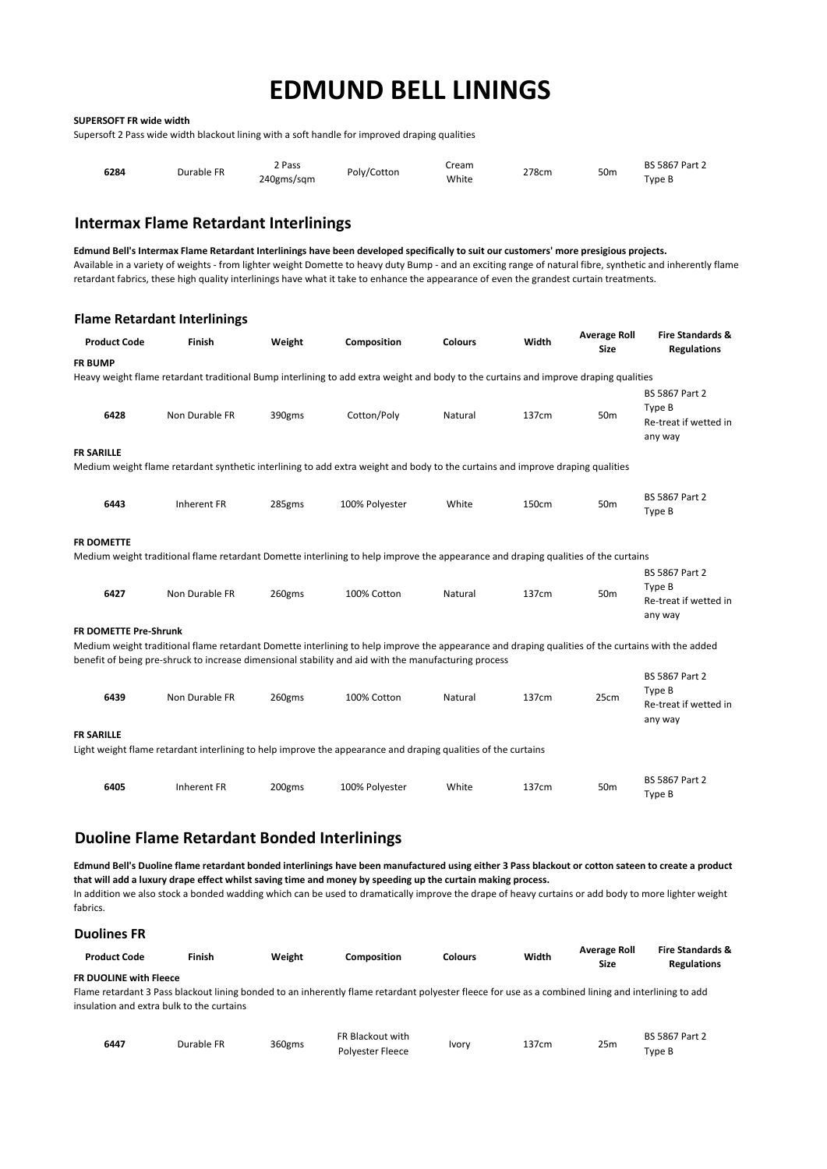#### **SUPERSOFT FR wide width**

Supersoft 2 Pass wide width blackout lining with a soft handle for improved draping qualities

| 6284 | Durable FR | 2 Pass<br>240gms/sqm | Poly/Cotton | Cream<br>White | 278cm | 50 <sub>m</sub> | <b>BS 5867 Part 2</b><br>Type B |
|------|------------|----------------------|-------------|----------------|-------|-----------------|---------------------------------|
|------|------------|----------------------|-------------|----------------|-------|-----------------|---------------------------------|

### **Intermax Flame Retardant Interlinings**

**Edmund Bell's Intermax Flame Retardant Interlinings have been developed specifically to suit our customers' more presigious projects.** Available in a variety of weights - from lighter weight Domette to heavy duty Bump - and an exciting range of natural fibre, synthetic and inherently flame retardant fabrics, these high quality interlinings have what it take to enhance the appearance of even the grandest curtain treatments.

|                              | <b>Flame Retardant Interlinings</b> |        |                                                                                                                                                                                                                                                           |                |       |                                    |                                                                     |
|------------------------------|-------------------------------------|--------|-----------------------------------------------------------------------------------------------------------------------------------------------------------------------------------------------------------------------------------------------------------|----------------|-------|------------------------------------|---------------------------------------------------------------------|
| <b>Product Code</b>          | Finish                              | Weight | Composition                                                                                                                                                                                                                                               | <b>Colours</b> | Width | <b>Average Roll</b><br><b>Size</b> | <b>Fire Standards &amp;</b><br><b>Regulations</b>                   |
| <b>FR BUMP</b>               |                                     |        |                                                                                                                                                                                                                                                           |                |       |                                    |                                                                     |
|                              |                                     |        | Heavy weight flame retardant traditional Bump interlining to add extra weight and body to the curtains and improve draping qualities                                                                                                                      |                |       |                                    |                                                                     |
| 6428                         | Non Durable FR                      | 390gms | Cotton/Poly                                                                                                                                                                                                                                               | Natural        | 137cm | 50 <sub>m</sub>                    | <b>BS 5867 Part 2</b><br>Type B<br>Re-treat if wetted in<br>any way |
| <b>FR SARILLE</b>            |                                     |        |                                                                                                                                                                                                                                                           |                |       |                                    |                                                                     |
|                              |                                     |        | Medium weight flame retardant synthetic interlining to add extra weight and body to the curtains and improve draping qualities                                                                                                                            |                |       |                                    |                                                                     |
| 6443                         | <b>Inherent FR</b>                  | 285gms | 100% Polyester                                                                                                                                                                                                                                            | White          | 150cm | 50 <sub>m</sub>                    | <b>BS 5867 Part 2</b><br>Type B                                     |
| <b>FR DOMETTE</b>            |                                     |        | Medium weight traditional flame retardant Domette interlining to help improve the appearance and draping qualities of the curtains                                                                                                                        |                |       |                                    |                                                                     |
| 6427                         | Non Durable FR                      | 260gms | 100% Cotton                                                                                                                                                                                                                                               | Natural        | 137cm | 50 <sub>m</sub>                    | <b>BS 5867 Part 2</b><br>Type B<br>Re-treat if wetted in<br>any way |
| <b>FR DOMETTE Pre-Shrunk</b> |                                     |        |                                                                                                                                                                                                                                                           |                |       |                                    |                                                                     |
|                              |                                     |        | Medium weight traditional flame retardant Domette interlining to help improve the appearance and draping qualities of the curtains with the added<br>benefit of being pre-shruck to increase dimensional stability and aid with the manufacturing process |                |       |                                    |                                                                     |
| 6439                         | Non Durable FR                      | 260gms | 100% Cotton                                                                                                                                                                                                                                               | Natural        | 137cm | 25cm                               | <b>BS 5867 Part 2</b><br>Type B<br>Re-treat if wetted in<br>any way |
| <b>FR SARILLE</b>            |                                     |        | Light weight flame retardant interlining to help improve the appearance and draping qualities of the curtains                                                                                                                                             |                |       |                                    |                                                                     |
| 6405                         | <b>Inherent FR</b>                  | 200gms | 100% Polyester                                                                                                                                                                                                                                            | White          | 137cm | 50 <sub>m</sub>                    | <b>BS 5867 Part 2</b><br>Type B                                     |

## **Duoline Flame Retardant Bonded Interlinings**

**Edmund Bell's Duoline flame retardant bonded interlinings have been manufactured using either 3 Pass blackout or cotton sateen to create a product that will add a luxury drape effect whilst saving time and money by speeding up the curtain making process.** In addition we also stock a bonded wadding which can be used to dramatically improve the drape of heavy curtains or add body to more lighter weight fabrics.

#### **Duolines FR**

| <b>Product Code</b>           | Finish | Weight | Composition                                                                                                                                         | <b>Colours</b> | Width | Average Roll<br>Size | <b>Fire Standards &amp;</b><br><b>Regulations</b> |
|-------------------------------|--------|--------|-----------------------------------------------------------------------------------------------------------------------------------------------------|----------------|-------|----------------------|---------------------------------------------------|
| <b>FR DUOLINE with Fleece</b> |        |        |                                                                                                                                                     |                |       |                      |                                                   |
|                               |        |        | Flame retardant 3 Pass blackout lining bonded to an inherently flame retardant polyester fleece for use as a combined lining and interlining to add |                |       |                      |                                                   |

Flame retardant 3 Pass blackout lining bonded to an inherently flame retardant polyester fleece for use as a combined lining and interlining to add insulation and extra bulk to the curtains

| 6447 | Durable FR | 360gms | FR Blackout with | Ivory | 137cm | 25m | <b>BS 5867 Part 2</b> |
|------|------------|--------|------------------|-------|-------|-----|-----------------------|
|      |            |        | Polvester Fleece |       |       |     | Type B                |